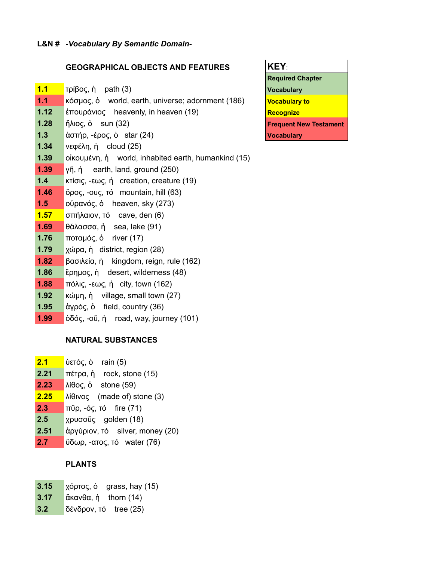#### **GEOGRAPHICAL OBJECTS AND FEATURES**

- **1.1** *τρίβος, ή path (3)*
- **1.1** κόσμος, ὁ world, earth, universe; adornment (186)
- **1.12** έπουράνιος heavenly, in heaven (19)
- **1.28** ἥλιος, ὁ sun (32)
- **1.3** ἀστήρ, -έρος, ὁ star (24)
- **1.34** νεφέλη, ἡ cloud (25)
- **1.39** οἰκουμένη, ἡ world, inhabited earth, humankind (15)
- **1.39** γῆ, ἡ earth, land, ground (250)
- **1.4** κτίσις, -εως, ἡ creation, creature (19)
- **1.46** ὄρος, -ους, τό mountain, hill (63)
- **1.5** οὐρανός, ὁ heaven, sky (273)
- **1.57** σπήλαιον, τό cave, den (6)
- **1.69** θάλασσα, ἡ sea, lake (91)
- **1.76** ποταμός, ὁ river (17)
- **1.79** χώρα, ἡ district, region (28)
- **1.82** βασιλεία, ἡ kingdom, reign, rule (162)
- **1.86** ἔρημος, ἡ desert, wilderness (48)
- **1.88** πόλις, -εως, ἡ city, town (162)
- **1.92** κώμη, ἡ village, small town (27)
- **1.95** ἀγρός, ὁ field, country (36)
- **1.99** ὁδός, -οῦ, ἡ road, way, journey (101)

#### **NATURAL SUBSTANCES**

**2.1** ὑετός, ὁ rain (5) **2.21** πέτρα, ἡ rock, stone (15) **2.23** λίθος, ὁ stone (59) **2.25** λίθινος (made of) stone (3) **2.3** πῦρ, -ός, τό fire (71) **2.5** χρυσοῦς golden (18) **2.51** ἀργύριον, τό silver, money (20) **2.7** ὕδωρ, -ατος, τό water (76)

## **PLANTS**

- **3.15** χόρτος, ὁ grass, hay (15)
- **3.17** ἄκανθα, ἡ thorn (14)
- **3.2** δένδρον, τό tree (25)

| <b>KEY:</b>                   |
|-------------------------------|
| <b>Required Chapter</b>       |
| <b>Vocabulary</b>             |
| <b>Vocabulary to</b>          |
| <b>Recognize</b>              |
| <b>Frequent New Testament</b> |
| <b>Vocabulary</b>             |
|                               |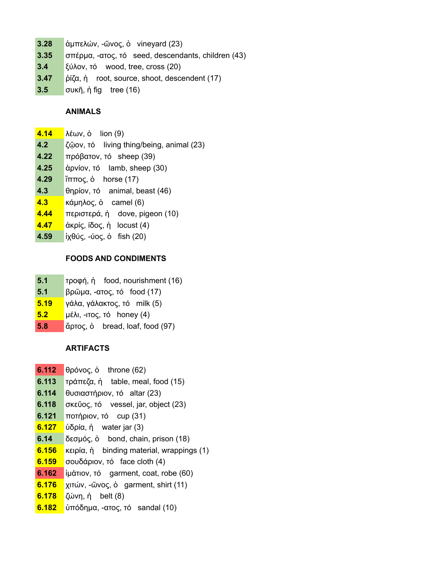- **3.28** ἀμπελών, -ῶνος, ὁ vineyard (23)
- **3.35** σπέρμα, -ατος, τό seed, descendants, children (43)
- **3.4** ξύλον, τό wood, tree, cross (20)
- **3.47** ῥίζα, ἡ root, source, shoot, descendent (17)
- **3.5** συκῆ, ἡ fig tree (16)

## **ANIMALS**

- **4.14** λέων, ὁ lion (9)
- **4.2** ζῷον, τό living thing/being, animal (23)
- **4.22** πρόβατον, τό sheep (39)
- **4.25** ἀρνίον, τό lamb, sheep (30)
- **4.29** ἵππος, ὁ horse (17)
- **4.3** θηρίον, τό animal, beast (46)
- **4.3** κάμηλος, ὁ camel (6)
- **4.44** περιστερά, ἡ dove, pigeon (10)
- **4.47** ἀκρίς, ίδος, ἡ locust (4)
- **4.59** ἰχθύς, -ύος, ὁ fish (20)

## **FOODS AND CONDIMENTS**

- **5.1** τροφή, ἡ food, nourishment (16)
- **5.1** βρῶμα, -ατος, τό food (17)
- **5.19** γάλα, γάλακτος, τό milk (5)
- **5.2** μέλι, -ιτος, τό honey (4)
- **5.8** ἄρτος, ὁ bread, loaf, food (97)

# **ARTIFACTS**

- **6.112** θρόνος, ὁ throne (62)
- **6.113** τράπεζα, ἡ table, meal, food (15)
- **6.114** θυσιαστήριον, τό altar (23)
- **6.118** σκεῦος, τό vessel, jar, object (23)
- **6.121** ποτήριον, τό cup (31)
- **6.127** ὑδρία, ἡ water jar (3)
- **6.14** δεσμός, ὁ bond, chain, prison (18)
- **6.156** κειρία, ἡ binding material, wrappings (1)
- **6.159** σουδάριον, τό face cloth (4)
- **6.162** ἱμάτιον, τό garment, coat, robe (60)
- **6.176** χιτών, -ῶνος, ὁ garment, shirt (11)
- **6.178** ζώνη, ἡ belt (8)
- **6.182** ὑπόδημα, -ατος, τό sandal (10)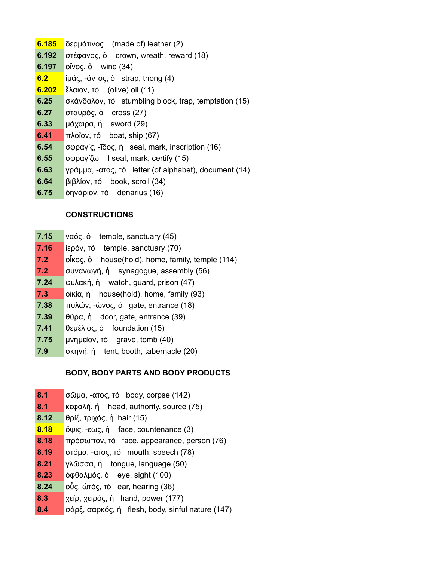- **6.185** δερμάτινος (made of) leather (2)
- **6.192** στέφανος, ὁ crown, wreath, reward (18)
- **6.197** οἴνος, ὁ wine (34)
- **6.2** ἱμάς, -άντος, ὁ strap, thong (4)
- **6.202** ἔλαιον, τό (olive) oil (11)
- **6.25** σκάνδαλον, τό stumbling block, trap, temptation (15)
- **6.27** σταυρός, ὁ cross (27)
- **6.33** μάχαιρα, ἡ sword (29)
- **6.41** πλοῖον, τό boat, ship (67)
- **6.54** σφραγίς, -ῖδος, ἡ seal, mark, inscription (16)
- **6.55** σφραγίζω I seal, mark, certify (15)
- **6.63** γράμμα, -ατος, τό letter (of alphabet), document (14)
- **6.64** βιβλίον, τό book, scroll (34)
- **6.75** δηνάριον, τό denarius (16)

## **CONSTRUCTIONS**

- **7.15** ναός, ὁ temple, sanctuary (45)
- **7.16** ἱερόν, τό temple, sanctuary (70)
- **7.2** οἶκος, ὁ house(hold), home, family, temple (114)
- **7.2** συναγωγή, ἡ synagogue, assembly (56)
- **7.24** φυλακή, ἡ watch, guard, prison (47)
- **7.3** οἰκία, ἡ house(hold), home, family (93)
- **7.38** πυλών, -ῶνος, ὁ gate, entrance (18)
- **7.39** θύρα, ἡ door, gate, entrance (39)
- **7.41** θεμέλιος, ὁ foundation (15)
- **7.75** μνημεῖον, τό grave, tomb (40)
- **7.9** σκηνή, ἡ tent, booth, tabernacle (20)

# **BODY, BODY PARTS AND BODY PRODUCTS**

- **8.1** σῶμα, -ατος, τό body, corpse (142)
- **8.1** κεφαλή, ἡ head, authority, source (75)
- **8.12** θρίξ, τριχός, ἡ hair (15)
- **8.18** ὄψις, -εως, ἡ face, countenance (3)
- **8.18** πρόσωπον, τό face, appearance, person (76)
- **8.19** στόμα, -ατος, τό mouth, speech (78)
- **8.21** γλῶσσα, ἡ tongue, language (50)
- **8.23** ὀφθαλμός, ὁ eye, sight (100)
- **8.24** οὖς, ώτός, τό ear, hearing (36)
- **8.3** χείρ, χειρός, ἡ hand, power (177)
- **8.4** σάρξ, σαρκός, ἡ flesh, body, sinful nature (147)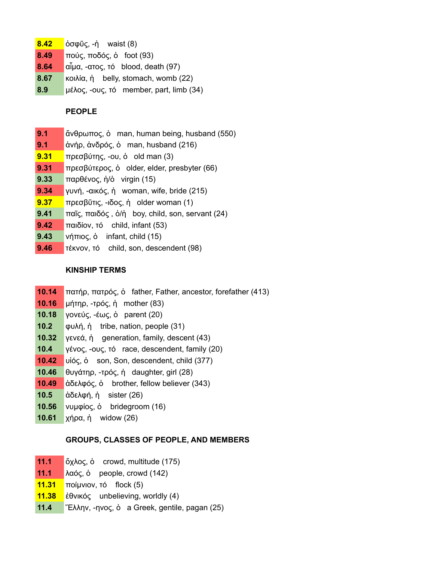- **8.42** ὀσφῦς, -ἡ waist (8)
- **8.49** πούς, ποδός, ὁ foot (93)
- **8.64** αἷμα, -ατος, τό blood, death (97)
- **8.67** κοιλία, ἡ belly, stomach, womb (22)
- **8.9** μέλος, -ους, τό member, part, limb (34)

#### **PEOPLE**

- **9.1** ἄνθρωπος, ὁ man, human being, husband (550)
- **9.1** ἀνήρ, ἀνδρός, ὁ man, husband (216)
- **9.31** πρεσβύτης, -ου, ὁ old man (3)
- **9.31** πρεσβύτερος, ὁ older, elder, presbyter (66)
- **9.33** παρθένος, ἡ/ὁ virgin (15)
- **9.34** γυνή, -αικός, ἡ woman, wife, bride (215)
- **9.37** πρεσβῦτις, -ιδος, ἡ older woman (1)
- **9.41** παῖς, παιδός , ὁ/ἡ boy, child, son, servant (24)
- **9.42** παιδίον, τό child, infant (53)
- **9.43** νήπιος, ὁ infant, child (15)
- **9.46** τέκνον, τό child, son, descendent (98)

#### **KINSHIP TERMS**

- **10.14** πατήρ, πατρός, ὁ father, Father, ancestor, forefather (413)
- **10.16** μήτηρ, -τρός, ἡ mother (83)
- **10.18** γονεύς, -έως, ὁ parent (20)
- **10.2** φυλή, ἡ tribe, nation, people (31)
- **10.32** γενεά, ἡ generation, family, descent (43)
- **10.4** γένος, -ους, τό race, descendent, family (20)
- **10.42** υἱός, ὁ son, Son, descendent, child (377)
- **10.46** θυγάτηρ, -τρός, ἡ daughter, girl (28)
- **10.49** ἀδελφός, ὁ brother, fellow believer (343)
- **10.5** ἀδελφή, ἡ sister (26)
- **10.56** νυμφίος, ὁ bridegroom (16)
- **10.61** χήρα, ἡ widow (26)

## **GROUPS, CLASSES OF PEOPLE, AND MEMBERS**

- **11.1** ὄχλος, ὁ crowd, multitude (175)
- **11.1** λαός, ὁ people, crowd (142)
- **11.31** ποίμνιον, τό flock (5)
- **11.38** ἐθνικός unbelieving, worldly (4)
- **11.4** Ἕλλην, -ηνος, ὁ a Greek, gentile, pagan (25)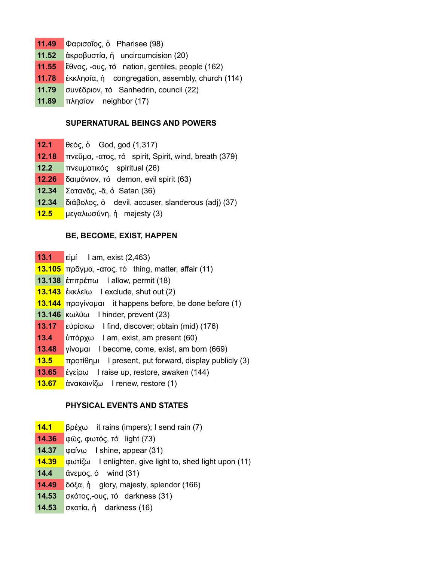- **11.49** Φαρισαῖος, ὁ Pharisee (98)
- **11.52** ἀκροβυστία, ἡ uncircumcision (20)
- **11.55** ἔθνος, -ους, τό nation, gentiles, people (162)
- **11.78** ἐκκλησία, ἡ congregation, assembly, church (114)
- **11.79** συνέδριον, τό Sanhedrin, council (22)
- **11.89** πλησίον neighbor (17)

#### **SUPERNATURAL BEINGS AND POWERS**

- **12.1** θεός, ὁ God, god (1,317)
- **12.18** πνεῦμα, -ατος, τό spirit, Spirit, wind, breath (379)
- **12.2** πνευματικός spiritual (26)
- **12.26** δαιμόνιον, τό demon, evil spirit (63)
- **12.34** Σατανᾶς, -ᾶ, ὁ Satan (36)
- **12.34** διάβολος, ὁ devil, accuser, slanderous (adj) (37)
- **12.5** μεγαλωσύνη, ἡ majesty (3)

#### **BE, BECOME, EXIST, HAPPEN**

- **13.1** εἰμί I am, exist (2,463)
- **13.105** πρᾶγμα, -ατος, τό thing, matter, affair (11)
- **13.138** ἐπιτρέπω I allow, permit (18)
- **13.143** ἐκκλείω I exclude, shut out (2)
- **13.144** προγίνομαι it happens before, be done before (1)
- **13.146** κωλύω I hinder, prevent (23)
- **13.17** εὑρίσκω I find, discover; obtain (mid) (176)
- **13.4** ὑπάρχω I am, exist, am present (60)
- **13.48** γίνομαι I become, come, exist, am born (669)
- **13.5** προτίθημι I present, put forward, display publicly (3)
- **13.65** ἐγείρω I raise up, restore, awaken (144)
- **13.67** ἀνακαινίζω I renew, restore (1)

## **PHYSICAL EVENTS AND STATES**

- **14.1** βρέχω it rains (impers); I send rain (7)
- **14.36** φῶς, φωτός, τό light (73)
- **14.37** φαίνω I shine, appear (31)
- **14.39** φωτίζω I enlighten, give light to, shed light upon (11)
- **14.4** ἄνεμος, ὁ wind (31)
- **14.49** δόξα, ἡ glory, majesty, splendor (166)
- **14.53** σκότος,-ους, τό darkness (31)
- **14.53** σκοτία, ἡ darkness (16)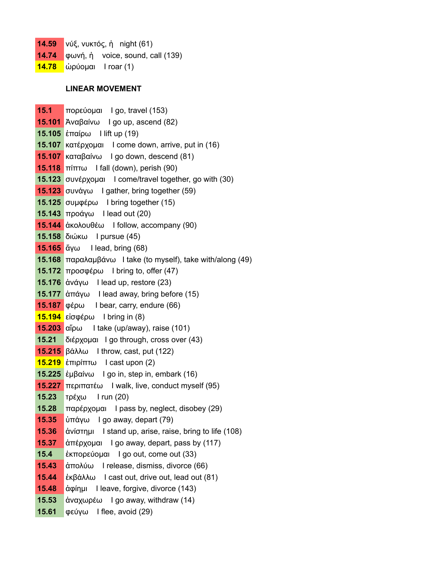- **14.59** νύξ, νυκτός, ἡ night (61)
- **14.74** φωνή, ή voice, sound, call (139)
- **14.78** ὠρύομαι I roar (1)

# **LINEAR MOVEMENT**

| 15.1   | πορεύομαι I go, travel (153)                              |
|--------|-----------------------------------------------------------|
|        | 15.101 Άναβαίνω I go up, ascend (82)                      |
|        | 15.105 έπαίρω I lift up (19)                              |
|        | 15.107 κατέρχομαι I come down, arrive, put in (16)        |
|        | 15.107 καταβαίνω I go down, descend (81)                  |
| 15.118 | $\pi$ ίπτω I fall (down), perish (90)                     |
|        | 15.123 συνέρχομαι I come/travel together, go with (30)    |
| 15.123 | $\sigma$ υνάγω I gather, bring together (59)              |
|        | 15.125 συμφέρω I bring together (15)                      |
|        | 15.143 προάγω I lead out (20)                             |
|        | 15.144 ἀκολουθέω I follow, accompany (90)                 |
|        | 15.158 διώκω   pursue (45)                                |
|        | 15.165 ἄγω I lead, bring $(68)$                           |
| 15.168 | $\pi$ αραλαμβάνω I take (to myself), take with/along (49) |
|        | <b>15.172</b> προσφέρω I bring to, offer $(47)$           |
|        | 15.176 $\dot{\alpha}$ váy I lead up, restore (23)         |
|        | 15.177 ἀπάγω I lead away, bring before (15)               |
|        | <b>15.187</b> φέρω I bear, carry, endure (66)             |
|        | 15.194 είσφέρω I bring in (8)                             |
|        | 15.203 $\alpha$ γήρω I take (up/away), raise (101)        |
| 15.21  | διέρχομαι I go through, cross over (43)                   |
|        | 15.215 βάλλω I throw, cast, put (122)                     |
|        | 15.219 έπιρίπτω I cast upon (2)                           |
|        | 15.225 έμβαίνω I go in, step in, embark (16)              |
|        | 15.227 περιπατέω I walk, live, conduct myself (95)        |
| 15.23  | τρέχω I run (20)                                          |
| 15.28  | παρέρχομαι I pass by, neglect, disobey (29)               |
| 15.35  | ύπάγω I go away, depart (79)                              |
| 15.36  | άνίστημι I stand up, arise, raise, bring to life (108)    |
| 15.37  | άπέρχομαι I go away, depart, pass by (117)                |
| 15.4   | έκπορεύομαι I go out, come out (33)                       |
| 15.43  | άπολύω<br>I release, dismiss, divorce (66)                |
| 15.44  | έκβάλλω I cast out, drive out, lead out (81)              |
| 15.48  | άφίημι<br>I leave, forgive, divorce (143)                 |
| 15.53  | άναχωρέω I go away, withdraw (14)                         |
| 15.61  | φεύγω I flee, avoid (29)                                  |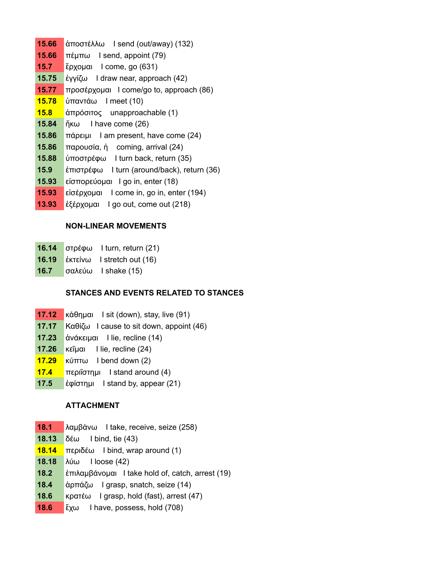- **15.66** ἀποστέλλω I send (out/away) (132) **15.66** πέμπω I send, appoint (79) **15.7** ἔρχομαι I come, go (631) **15.75** ἐγγίζω I draw near, approach (42) **15.77** προσέρχομαι I come/go to, approach (86) **15.78** ὑπαντάω I meet (10) **15.8** ἀπρόσιτος unapproachable (1) **15.84** ἥκω I have come (26) **15.86** πάρειμι I am present, have come (24) **15.86** παρουσία, ἡ coming, arrival (24) **15.88** ὑποστρέφω I turn back, return (35) **15.9** ἐπιστρέφω I turn (around/back), return (36) **15.93** εἰσπορεύομαι I go in, enter (18)
- **15.93** εἰσέρχομαι I come in, go in, enter (194)
- **13.93** ἐξέρχομαι I go out, come out (218)

#### **NON-LINEAR MOVEMENTS**

- **16.14** στρέφω I turn, return (21)
- **16.19** ἐκτείνω I stretch out (16)
- **16.7** σαλεύω I shake (15)

## **STANCES AND EVENTS RELATED TO STANCES**

- **17.12** κάθημαι I sit (down), stay, live (91)
- **17.17** Καθίζω I cause to sit down, appoint (46)
- **17.23** ἀνάκειμαι I lie, recline (14)
- **17.26** κεῖμαι I lie, recline (24)
- **17.29** κύπτω I bend down (2)
- **17.4** περιΐστημι I stand around (4)
- **17.5** ἐφίστημι I stand by, appear (21)

#### **ATTACHMENT**

- **18.1** λαμβάνω I take, receive, seize (258)
- **18.13** δέω I bind, tie (43)
- **18.14** περιδέω I bind, wrap around (1)
- **18.18** λύω I loose (42)
- **18.2** ἐπιλαμβάνομαι I take hold of, catch, arrest (19)
- **18.4** ἁρπάζω I grasp, snatch, seize (14)
- **18.6** κρατέω I grasp, hold (fast), arrest (47)
- **18.6** ἔχω I have, possess, hold (708)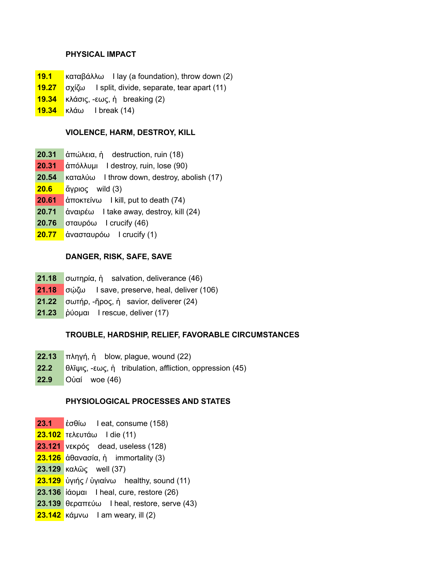## **PHYSICAL IMPACT**

- **19.1** καταβάλλω I lay (a foundation), throw down (2)
- **19.27** σχίζω I split, divide, separate, tear apart (11)
- **19.34** κλάσις, -εως, ἡ breaking (2)
- **19.34** κλάω I break (14)

#### **VIOLENCE, HARM, DESTROY, KILL**

- **20.31** ἀπώλεια, ἡ destruction, ruin (18)
- **20.31** ἀπόλλυμι I destroy, ruin, lose (90)
- **20.54** καταλύω I throw down, destroy, abolish (17)
- **20.6** ἄγριος wild (3)
- **20.61** ἀποκτείνω I kill, put to death (74)
- **20.71** ἀναιρέω I take away, destroy, kill (24)
- **20.76** σταυρόω I crucify (46)
- **20.77** ἀνασταυρόω I crucify (1)

## **DANGER, RISK, SAFE, SAVE**

- **21.18** σωτηρία, ἡ salvation, deliverance (46)
- **21.18** σώζω I save, preserve, heal, deliver (106)
- **21.22** σωτήρ, -ῆρος, ἡ savior, deliverer (24)
- **21.23** ῥύομαι I rescue, deliver (17)

#### **TROUBLE, HARDSHIP, RELIEF, FAVORABLE CIRCUMSTANCES**

- **22.13** πληγή, ἡ blow, plague, wound (22)
- **22.2** θλῖψις, -εως, ἡ tribulation, affliction, oppression (45)
- **22.9** Οὐαί woe (46)

## **PHYSIOLOGICAL PROCESSES AND STATES**

- **23.1** ἐσθίω I eat, consume (158)
- **23.102** τελευτάω I die (11)
- **23.121** νεκρός dead, useless (128)
- **23.126** ἀθανασία, ἡ immortality (3)
- **23.129** καλῶς well (37)
- **23.129** ὑγιής / ὑγιαίνω healthy, sound (11)
- **23.136** ἰάομαι I heal, cure, restore (26)
- **23.139** θεραπεύω I heal, restore, serve (43)
- **23.142** κάμνω I am weary, ill (2)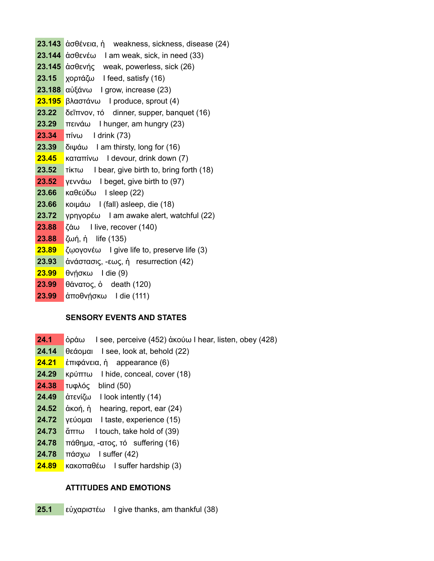**23.143** ἀσθένεια, ἡ weakness, sickness, disease (24) **23.144** ἀσθενέω I am weak, sick, in need (33) **23.145** ἀσθενής weak, powerless, sick (26) **23.15** χορτάζω I feed, satisfy (16) **23.188** αὐξάνω I grow, increase (23) **23.195** βλαστάνω I produce, sprout (4) **23.22** δεῖπνον, τό dinner, supper, banquet (16) **23.29** πεινάω I hunger, am hungry (23) **23.34** πίνω I drink (73) **23.39** διψάω I am thirsty, long for (16) **23.45** καταπίνω I devour, drink down (7) **23.52** τίκτω I bear, give birth to, bring forth (18) **23.52** γεννάω I beget, give birth to (97) **23.66** καθεύδω I sleep (22) **23.66** κοιμάω I (fall) asleep, die (18) **23.72** γρηγορέω I am awake alert, watchful (22) **23.88** ζάω I live, recover (140) **23.88** ζωή, ἡ life (135) **23.89** ζῳογονέω I give life to, preserve life (3) **23.93** ἀνάστασις, -εως, ἡ resurrection (42) **23.99** θνήσκω I die (9) **23.99** θάνατος, ὁ death (120)

**23.99** ἀποθνήσκω I die (111)

## **SENSORY EVENTS AND STATES**

- **24.1** ὁράω I see, perceive (452) ἀκούω I hear, listen, obey (428)
- **24.14** θεάομαι I see, look at, behold (22)
- **24.21** ἐπιφάνεια, ἡ appearance (6)
- **24.29** κρύπτω I hide, conceal, cover (18)
- **24.38** τυφλός blind (50)
- **24.49** ἀτενίζω I look intently (14)
- **24.52** ἀκοή, ἡ hearing, report, ear (24)
- **24.72** γεύομαι I taste, experience (15)
- **24.73** ἅπτω I touch, take hold of (39)
- **24.78** πάθημα, -ατος, τό suffering (16)
- **24.78** πάσχω I suffer (42)
- **24.89** κακοπαθέω I suffer hardship (3)

## **ATTITUDES AND EMOTIONS**

**25.1** εὐχαριστέω I give thanks, am thankful (38)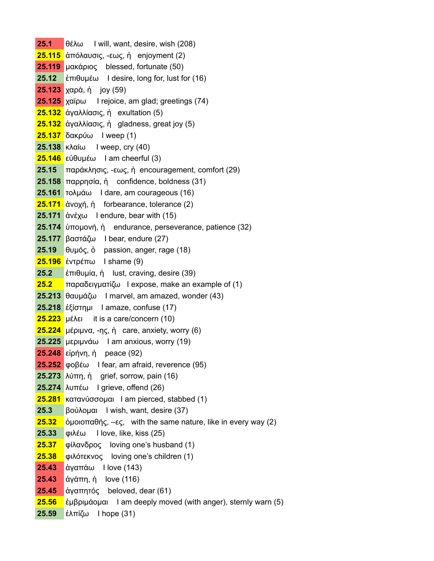**25.1** θέλω I will, want, desire, wish (208) **25.115** ἀπόλαυσις, -εως, ἡ enjoyment (2) **25.119** μακάριος blessed, fortunate (50) **25.12** ἐπιθυμέω I desire, long for, lust for (16) **25.123** χαρά, ἡ joy (59) **25.125** χαίρω I rejoice, am glad; greetings (74) **25.132** ἀγαλλίασις, ἡ exultation (5) **25.132** ἀγαλλίασις, ἡ gladness, great joy (5) **25.137** δακρύω I weep (1) **25.138** κλαίω I weep, cry (40) **25.146** εὐθυμέω I am cheerful (3) **25.15** παράκλησις, -εως, ἡ encouragement, comfort (29) **25.158** παρρησία, ἡ confidence, boldness (31) **25.161** τολμάω I dare, am courageous (16) **25.171** ἀνοχή, ἡ forbearance, tolerance (2) **25.171** ἀνέχω I endure, bear with (15) **25.174** ὑπομονή, ἡ endurance, perseverance, patience (32) **25.177** βαστάζω I bear, endure (27) **25.19** θυμός, ὁ passion, anger, rage (18) **25.196** ἐντρέπω I shame (9) **25.2** ἐπιθυμία, ἡ lust, craving, desire (39) **25.2** παραδειγματίζω I expose, make an example of (1) **25.213** θαυμάζω I marvel, am amazed, wonder (43) **25.218** ἐξίστημι I amaze, confuse (17) **25.223** μέλει it is a care/concern (10) **25.224** μέριμνα, -ης, ἡ care, anxiety, worry (6) **25.225** μεριμνάω I am anxious, worry (19) **25.248** εἰρήνη, ἡ peace (92) **25.252** φοβέω I fear, am afraid, reverence (95) **25.273** λύπη, ἡ grief, sorrow, pain (16) **25.274** λυπέω I grieve, offend (26) **25.281** κατανύσσομαι I am pierced, stabbed (1) **25.3** βούλομαι I wish, want, desire (37) **25.32** ὁμοιοπαθής, –ες, with the same nature, like in every way (2) **25.33** φιλέω I love, like, kiss (25) **25.37** φίλανδρος loving one's husband (1) **25.38** φιλότεκνος loving one's children (1) **25.43** ἀγαπάω I love (143) **25.43** ἀγάπη, ἡ love (116) **25.45** ἀγαπητός beloved, dear (61) **25.56** ἐμβριμάομαι I am deeply moved (with anger), sternly warn (5) **25.59** ἐλπίζω I hope (31)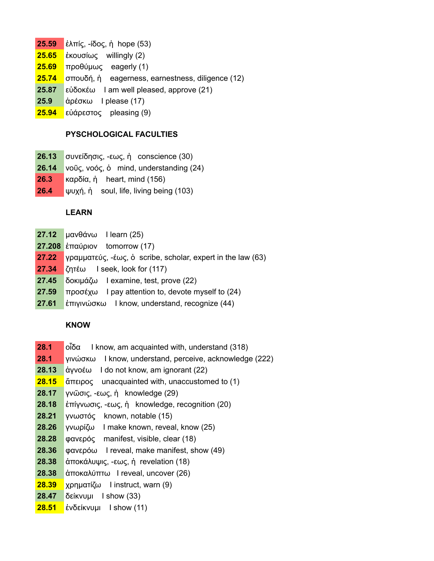- **25.59** ἐλπίς, -ίδος, ἡ hope (53)
- **25.65** ἑκουσίως willingly (2)
- **25.69** προθύμως eagerly (1)
- **25.74** σπουδή, ἡ eagerness, earnestness, diligence (12)
- **25.87** εὐδοκέω I am well pleased, approve (21)
- **25.9** ἀρέσκω I please (17)
- **25.94** εὐάρεστος pleasing (9)

# **PYSCHOLOGICAL FACULTIES**

- **26.13** συνείδησις, -εως, ἡ conscience (30)
- **26.14** νοῦς, νοός, ὁ mind, understanding (24)
- **26.3** καρδία, ἡ heart, mind (156)
- **26.4** ψυχή, ἡ soul, life, living being (103)

# **LEARN**

- **27.12** μανθάνω I learn (25)
- **27.208** ἐπαύριον tomorrow (17)
- **27.22** γραμματεύς, -έως, ὁ scribe, scholar, expert in the law (63)
- **27.34** ζητέω I seek, look for (117)
- **27.45** δοκιμάζω I examine, test, prove (22)
- **27.59** προσέχω I pay attention to, devote myself to (24)
- **27.61** ἐπιγινώσκω I know, understand, recognize (44)

# **KNOW**

- **28.1** οἶδα I know, am acquainted with, understand (318)
- **28.1** γινώσκω I know, understand, perceive, acknowledge (222)
- **28.13** ἀγνοέω I do not know, am ignorant (22)
- **28.15** ἄπειρος unacquainted with, unaccustomed to (1)
- **28.17** γνῶσις, -εως, ἡ knowledge (29)
- **28.18** ἐπίγνωσις, -εως, ἡ knowledge, recognition (20)
- **28.21** γνωστός known, notable (15)
- **28.26** γνωρίζω I make known, reveal, know (25)
- **28.28** φανερός manifest, visible, clear (18)
- **28.36** φανερόω I reveal, make manifest, show (49)
- **28.38** ἀποκάλυψις, -εως, ἡ revelation (18)
- **28.38** ἀποκαλύπτω I reveal, uncover (26)
- **28.39** χρηματίζω I instruct, warn (9)
- **28.47** δείκνυμι I show (33)
- **28.51** ἐνδείκνυμι I show (11)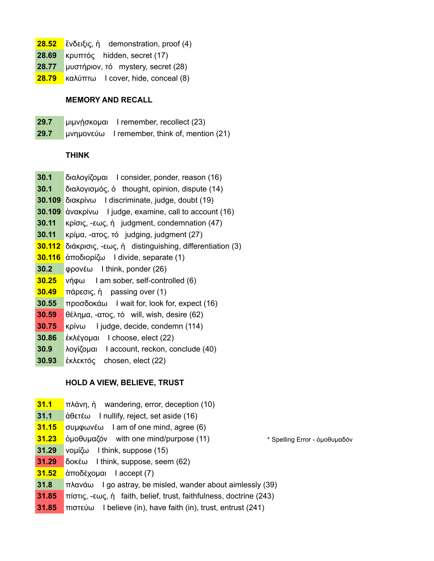- **28.52** ἔνδειξις, ἡ demonstration, proof (4)
- **28.69** κρυπτός hidden, secret (17)
- **28.77** μυστήριον, τό mystery, secret (28)
- **28.79** καλύπτω I cover, hide, conceal (8)

#### **MEMORY AND RECALL**

- **29.7** μιμνήσκομαι I remember, recollect (23)
- **29.7** μνημονεύω I remember, think of, mention (21)

#### **THINK**

- **30.1** διαλογίζομαι I consider, ponder, reason (16)
- **30.1** διαλογισμός, ὁ thought, opinion, dispute (14)
- **30.109** διακρίνω I discriminate, judge, doubt (19)
- **30.109** ἀνακρίνω I judge, examine, call to account (16)
- **30.11** κρίσις, -εως, ἡ judgment, condemnation (47)
- **30.11** κρίμα, -ατος, τό judging, judgment (27)
- **30.112** διάκρισις, -εως, ἡ distinguishing, differentiation (3)
- **30.116** ἀποδιορίζω I divide, separate (1)
- **30.2** φρονέω I think, ponder (26)
- **30.25** νήφω I am sober, self-controlled (6)
- **30.49** πάρεσις, ἡ passing over (1)
- **30.55** προσδοκάω I wait for, look for, expect (16)
- **30.59** θέλημα, -ατος, τό will, wish, desire (62)
- **30.75** κρίνω I judge, decide, condemn (114)
- **30.86** ἐκλέγομαι I choose, elect (22)
- **30.9** λογίζομαι I account, reckon, conclude (40)
- **30.93** ἐκλεκτός chosen, elect (22)

#### **HOLD A VIEW, BELIEVE, TRUST**

- **31.1** πλάνη, ἡ wandering, error, deception (10)
- **31.1** ἀθετέω I nullify, reject, set aside (16)
- **31.15** συμφωνέω I am of one mind, agree (6)
- **31.23** ὁμοθυμαζόν with one mind/purpose (11) \* Spelling Error ὁμοθυμαδόν
- **31.29** νομίζω I think, suppose (15)
- **31.29** δοκέω I think, suppose, seem (62)
- **31.52** ἀποδέχομαι I accept (7)
- **31.8** πλανάω I go astray, be misled, wander about aimlessly (39)
- **31.85** πίστις, -εως, ἡ faith, belief, trust, faithfulness, doctrine (243)
- **31.85** πιστεύω I believe (in), have faith (in), trust, entrust (241)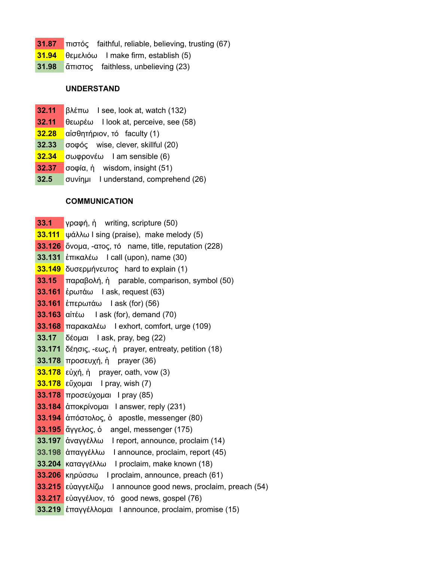- **31.87** πιστός faithful, reliable, believing, trusting (67)
- **31.94** θεμελιόω I make firm, establish (5)
- **31.98** ἄπιστος faithless, unbelieving (23)

#### **UNDERSTAND**

- **32.11** βλέπω I see, look at, watch (132)
- **32.11** θεωρέω I look at, perceive, see (58)
- **32.28** αἰσθητήριον, τό faculty (1)
- **32.33** σοφός wise, clever, skillful (20)
- **32.34** σωφρονέω I am sensible (6)
- **32.37** σοφία, ἡ wisdom, insight (51)
- **32.5** συνίημι I understand, comprehend (26)

#### **COMMUNICATION**

- **33.1** γραφή, ἡ writing, scripture (50)
- **33.111** ψάλλω I sing (praise), make melody (5)
- **33.126** ὄνομα, -ατος, τό name, title, reputation (228)
- **33.131** ἐπικαλέω I call (upon), name (30)
- **33.149** δυσερμήνευτος hard to explain (1)
- **33.15** παραβολή, ἡ parable, comparison, symbol (50)
- **33.161** ἐρωτάω I ask, request (63)
- **33.161** ἐπερωτάω I ask (for) (56)
- **33.163** αἰτέω I ask (for), demand (70)
- **33.168** παρακαλέω I exhort, comfort, urge (109)
- **33.17** δέομαι I ask, pray, beg (22)
- **33.171** δέησις, -εως, ἡ prayer, entreaty, petition (18)
- **33.178** προσευχή, ἡ prayer (36)
- **33.178** εὐχή, ἡ prayer, oath, vow (3)
- **33.178** εὔχομαι I pray, wish (7)
- **33.178** προσεύχομαι I pray (85)
- **33.184** ἀποκρίνομαι I answer, reply (231)
- **33.194** ἀπόστολος, ὁ apostle, messenger (80)
- **33.195** ἄγγελος, ὁ angel, messenger (175)
- **33.197** ἀναγγέλλω I report, announce, proclaim (14)
- **33.198** ἀπαγγέλλω I announce, proclaim, report (45)
- **33.204** καταγγέλλω I proclaim, make known (18)
- **33.206** κηρύσσω I proclaim, announce, preach (61)
- **33.215** εὐαγγελίζω I announce good news, proclaim, preach (54)
- **33.217** εὐαγγέλιον, τό good news, gospel (76)
- **33.219** ἐπαγγέλλομαι I announce, proclaim, promise (15)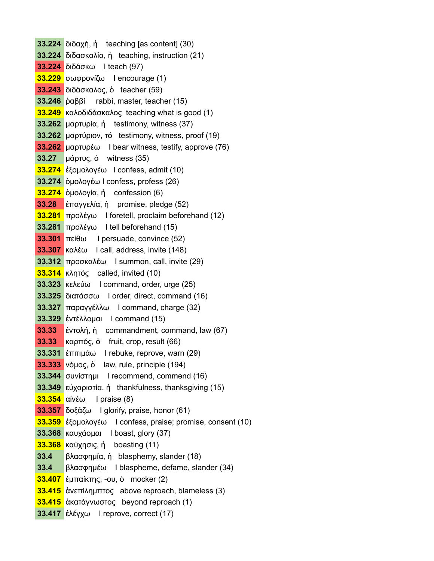**33.224** διδαχή, ἡ teaching [as content] (30) **33.224** διδασκαλία, ἡ teaching, instruction (21) **33.224** διδάσκω I teach (97) **33.229** σωφρονίζω I encourage (1) **33.243** διδάσκαλος, ὁ teacher (59) **33.246** ῥαββί rabbi, master, teacher (15) **33.249** καλοδιδάσκαλος teaching what is good (1) **33.262** μαρτυρία, ἡ testimony, witness (37) **33.262** μαρτύριον, τό testimony, witness, proof (19) **33.262** μαρτυρέω I bear witness, testify, approve (76) **33.27** μάρτυς, ὁ witness (35) **33.274** ἐξομολογέω I confess, admit (10) **33.274** ὁμολογέω I confess, profess (26) **33.274** ὁμολογία, ἡ confession (6) **33.28** ἐπαγγελία, ἡ promise, pledge (52) **33.281** προλέγω I foretell, proclaim beforehand (12) **33.281** προλέγω I tell beforehand (15) **33.301** πείθω I persuade, convince (52) **33.307** καλέω I call, address, invite (148) **33.312** προσκαλέω I summon, call, invite (29) **33.314** κλητός called, invited (10) **33.323** κελεύω I command, order, urge (25) **33.325** διατάσσω I order, direct, command (16) **33.327** παραγγέλλω I command, charge (32) **33.329** ἐντέλλομαι I command (15) **33.33** ἐντολή, ἡ commandment, command, law (67) **33.33** καρπός, ὁ fruit, crop, result (66) **33.331** ἐπιτιμάω I rebuke, reprove, warn (29) **33.333** νόμος, ὁ law, rule, principle (194) **33.344** συνίστημι I recommend, commend (16) **33.349** εὐχαριστία, ἡ thankfulness, thanksgiving (15) **33.354** αἰνέω I praise (8) **33.357** δοξάζω I glorify, praise, honor (61) **33.359** ἐξομολογέω I confess, praise; promise, consent (10) **33.368** καυχάομαι I boast, glory (37) **33.368** καύχησις, ἡ boasting (11) **33.4** βλασφημία, ἡ blasphemy, slander (18) **33.4** βλασφημέω I blaspheme, defame, slander (34) **33.407** ἐμπαίκτης, -ου, ὁ mocker (2) **33.415** ἀνεπίλημπτος above reproach, blameless (3) **33.415** ἀκατάγνωστος beyond reproach (1) **33.417** ἐλέγχω I reprove, correct (17)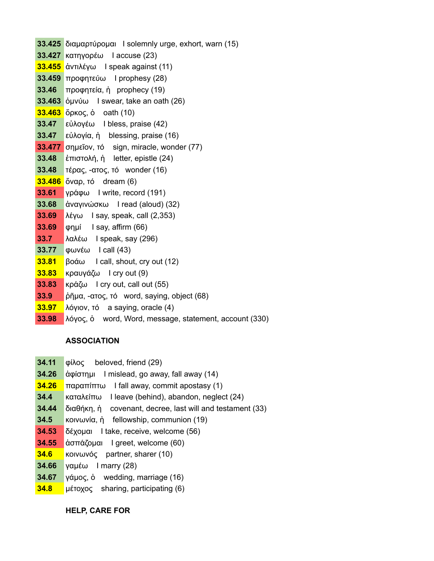**33.425** διαμαρτύρομαι I solemnly urge, exhort, warn (15) **33.427** κατηγορέω I accuse (23) **33.455** ἀντιλέγω I speak against (11) **33.459** προφητεύω I prophesy (28) **33.46** προφητεία, ἡ prophecy (19) **33.463** ὀμνύω I swear, take an oath (26) **33.463** ὅρκος, ὁ oath (10) **33.47** εὐλογέω I bless, praise (42) **33.47** εὐλογία, ἡ blessing, praise (16) **33.477** σημεῖον, τό sign, miracle, wonder (77) **33.48** ἐπιστολή, ἡ letter, epistle (24) **33.48** τέρας, -ατος, τό wonder (16) **33.486** ὄναρ, τό dream (6) **33.61** γράφω I write, record (191) **33.68** ἀναγινώσκω I read (aloud) (32) **33.69** λέγω I say, speak, call (2,353) **33.69** φημί I say, affirm (66) **33.7** λαλέω I speak, say (296) **33.77** φωνέω I call (43) **33.81** βοάω I call, shout, cry out (12) **33.83** κραυγάζω I cry out (9) **33.83** κράζω I cry out, call out (55) **33.9** ῥῆμα, -ατος, τό word, saying, object (68) **33.97** λόγιον, τό a saying, oracle (4) **33.98** λόγος, ὁ word, Word, message, statement, account (330)

# **ASSOCIATION**

- **34.11** φίλος beloved, friend (29)
- **34.26** ἀφίστημι I mislead, go away, fall away (14)
- **34.26** παραπίπτω I fall away, commit apostasy (1)
- **34.4** καταλείπω I leave (behind), abandon, neglect (24)
- **34.44** διαθήκη, ἡ covenant, decree, last will and testament (33)
- **34.5** κοινωνία, ἡ fellowship, communion (19)
- **34.53** δέχομαι I take, receive, welcome (56)
- **34.55** ἀσπάζομαι I greet, welcome (60)
- **34.6** κοινωνός partner, sharer (10)
- **34.66** γαμέω I marry (28)
- **34.67** γάμος, ὁ wedding, marriage (16)
- **34.8** μέτοχος sharing, participating (6)

**HELP, CARE FOR**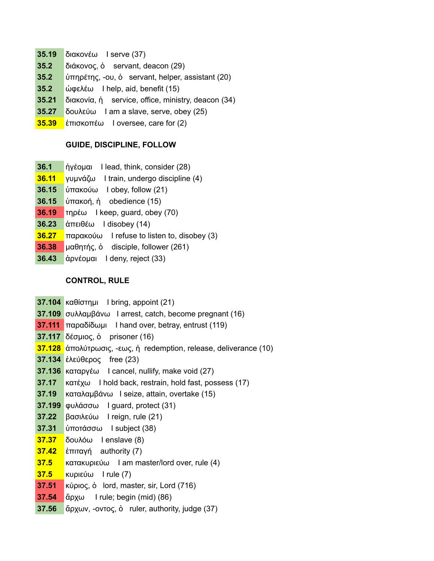- **35.19** διακονέω I serve (37)
- **35.2** διάκονος, ὁ servant, deacon (29)
- **35.2** ὑπηρέτης, -ου, ὁ servant, helper, assistant (20)
- **35.2** ώφελέω I help, aid, benefit (15)
- **35.21** διακονία, ἡ service, office, ministry, deacon (34)
- **35.27** δουλεύω I am a slave, serve, obey (25)
- **35.39** ἐπισκοπέω I oversee, care for (2)

## **GUIDE, DISCIPLINE, FOLLOW**

- **36.1** ἡγέομαι I lead, think, consider (28)
- **36.11** γυμνάζω I train, undergo discipline (4)
- **36.15** ὑπακούω I obey, follow (21)
- **36.15** ὑπακοή, ἡ obedience (15)
- **36.19** τηρέω I keep, guard, obey (70)
- **36.23** ἀπειθέω I disobey (14)
- **36.27** παρακούω I refuse to listen to, disobey (3)
- **36.38** μαθητής, ὁ disciple, follower (261)
- **36.43** ἀρνέομαι I deny, reject (33)

# **CONTROL, RULE**

- **37.104** καθίστημι I bring, appoint (21)
- **37.109** συλλαμβάνω I arrest, catch, become pregnant (16)
- **37.111** παραδίδωμι I hand over, betray, entrust (119)
- **37.117** δέσμιος, ὁ prisoner (16)
- **37.128** ἀπολύτρωσις, -εως, ἡ redemption, release, deliverance (10)
- **37.134** ἐλεύθερος free (23)
- **37.136** καταργέω I cancel, nullify, make void (27)
- **37.17** κατέχω I hold back, restrain, hold fast, possess (17)
- **37.19** καταλαμβάνω I seize, attain, overtake (15)
- **37.199** φυλάσσω I guard, protect (31)
- **37.22** βασιλεύω I reign, rule (21)
- **37.31** ὑποτάσσω I subject (38)
- **37.37** δουλόω I enslave (8)
- **37.42** ἐπιταγή authority (7)
- **37.5** κατακυριεύω I am master/lord over, rule (4)
- **37.5** κυριεύω I rule (7)
- **37.51** κύριος, ὁ lord, master, sir, Lord (716)
- **37.54** ἄρχω I rule; begin (mid) (86)
- **37.56** ἄρχων, -οντος, ὁ ruler, authority, judge (37)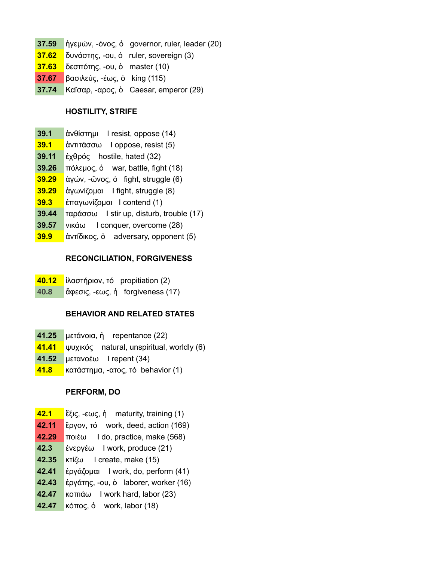**37.59** ἡγεμών, -όνος, ὁ governor, ruler, leader (20) **37.62** δυνάστης, -ου, ὁ ruler, sovereign (3) **37.63** δεσπότης, -ου, ὁ master (10) **37.67** βασιλεύς, -έως, ὁ king (115) **37.74** Καῖσαρ, -αρος, ὁ Caesar, emperor (29)

## **HOSTILITY, STRIFE**

- **39.1** ἀνθίστημι I resist, oppose (14)
- **39.1** ἀντιτάσσω I oppose, resist (5)
- **39.11** ἐχθρός hostile, hated (32)
- **39.26** πόλεμος, ὁ war, battle, fight (18)
- **39.29** ἀγών, -ῶνος, ὁ fight, struggle (6)
- **39.29** ἀγωνίζομαι I fight, struggle (8)
- **39.3** ἐπαγωνίζομαι I contend (1)
- **39.44** ταράσσω I stir up, disturb, trouble (17)
- **39.57** νικάω I conquer, overcome (28)
- **39.9** ἀντίδικος, ὁ adversary, opponent (5)

#### **RECONCILIATION, FORGIVENESS**

- **40.12** ἱλαστήριον, τό propitiation (2)
- **40.8** ἄφεσις, -εως, ἡ forgiveness (17)

#### **BEHAVIOR AND RELATED STATES**

- **41.25** μετάνοια, ἡ repentance (22)
- **41.41** ψυχικός natural, unspiritual, worldly (6)
- **41.52** μετανοέω I repent (34)
- **41.8** κατάστημα, -ατος, τό behavior (1)

#### **PERFORM, DO**

- **42.1** ἕξις, -εως, ἡ maturity, training (1)
- **42.11** ἔργον, τό work, deed, action (169)
- **42.29** ποιέω I do, practice, make (568)
- **42.3** ἐνεργέω I work, produce (21)
- **42.35** κτίζω I create, make (15)
- **42.41** ἐργάζομαι I work, do, perform (41)
- **42.43** ἐργάτης, -ου, ὁ laborer, worker (16)
- **42.47** κοπιάω I work hard, labor (23)
- **42.47** κόπος, ὁ work, labor (18)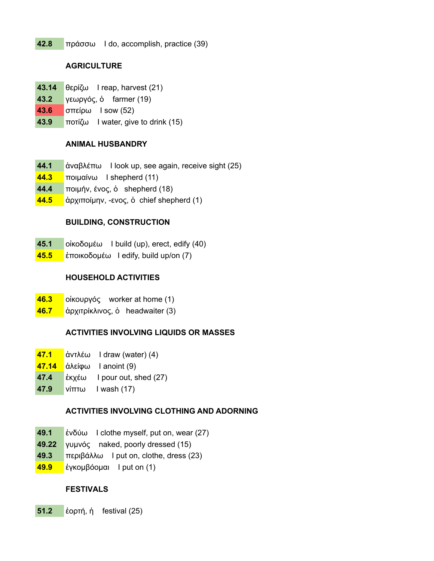**42.8** πράσσω I do, accomplish, practice (39)

# **AGRICULTURE**

- **43.14** θερίζω I reap, harvest (21)
- **43.2** γεωργός, ὁ farmer (19)
- **43.6** σπείρω I sow (52)
- **43.9** ποτίζω I water, give to drink (15)

# **ANIMAL HUSBANDRY**

- **44.1** ἀναβλέπω I look up, see again, receive sight (25)
- **44.3** ποιμαίνω I shepherd (11)
- **44.4** ποιμήν, ένος, ὁ shepherd (18)
- **44.5** ἀρχιποίμην, -ενος, ὁ chief shepherd (1)

# **BUILDING, CONSTRUCTION**

- **45.1** οἰκοδομέω I build (up), erect, edify (40)
- **45.5** ἐποικοδομέω I edify, build up/on (7)

# **HOUSEHOLD ACTIVITIES**

- **46.3** οἰκουργός worker at home (1)
- **46.7** ἀρχιτρίκλινος, ὁ headwaiter (3)

# **ACTIVITIES INVOLVING LIQUIDS OR MASSES**

- **47.1** ἀντλέω I draw (water) (4)
- **47.14** ἀλείφω I anoint (9)
- **47.4** ἐκχέω I pour out, shed (27)
- **47.9** νίπτω I wash (17)

# **ACTIVITIES INVOLVING CLOTHING AND ADORNING**

- **49.1** ἐνδύω I clothe myself, put on, wear (27)
- **49.22** γυμνός naked, poorly dressed (15)
- **49.3** περιβάλλω I put on, clothe, dress (23)
- **49.9** ἐγκομβόομαι I put on (1)

# **FESTIVALS**

**51.2** ἑορτή, ἡ festival (25)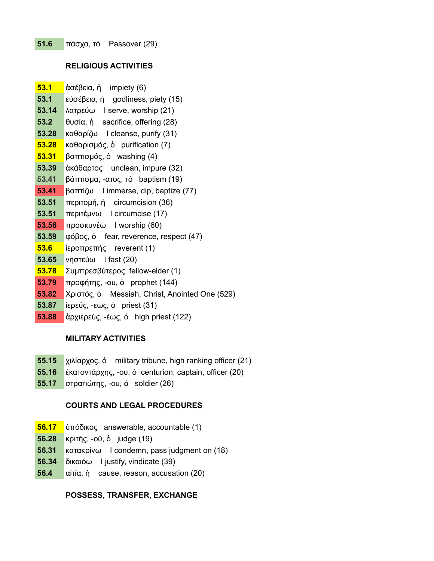## **RELIGIOUS ACTIVITIES**

- **53.1** ἀσέβεια, ἡ impiety (6)
- **53.1** εὐσέβεια, ἡ godliness, piety (15)
- **53.14** λατρεύω I serve, worship (21)
- **53.2** θυσία, ἡ sacrifice, offering (28)
- **53.28** καθαρίζω I cleanse, purify (31)
- **53.28** καθαρισμός, ὁ purification (7)
- **53.31** βαπτισμός, ὁ washing (4)
- **53.39** ἀκάθαρτος unclean, impure (32)
- **53.41** βάπτισμα, -ατος, τό baptism (19)
- **53.41** βαπτίζω I immerse, dip, baptize (77)
- **53.51** περιτομή, ἡ circumcision (36)
- **53.51** περιτέμνω I circumcise (17)
- **53.56** προσκυνέω I worship (60)
- **53.59** φόβος, ὁ fear, reverence, respect (47)
- **53.6** ἱεροπρεπής reverent (1)
- **53.65** νηστεύω I fast (20)
- **53.78** Συμπρεσβύτερος fellow-elder (1)
- **53.79** προφήτης, -ου, ὁ prophet (144)
- **53.82** Χριστός, ὁ Messiah, Christ, Anointed One (529)
- **53.87** ἱερεύς, -εως, ὁ priest (31)
- **53.88** ἀρχιερεύς, -έως, ὁ high priest (122)

# **MILITARY ACTIVITIES**

- **55.15** χιλίαρχος, ὁ military tribune, high ranking officer (21)
- **55.16** ἑκατοντάρχης, -ου, ὁ centurion, captain, officer (20)
- **55.17** στρατιώτης, -ου, ὁ soldier (26)

# **COURTS AND LEGAL PROCEDURES**

- **56.17** ὑπόδικος answerable, accountable (1)
- **56.28** κριτής, -οῦ, ὁ judge (19)
- **56.31** κατακρίνω I condemn, pass judgment on (18)
- **56.34** δικαιόω I justify, vindicate (39)
- **56.4** αἰτία, ἡ cause, reason, accusation (20)

# **POSSESS, TRANSFER, EXCHANGE**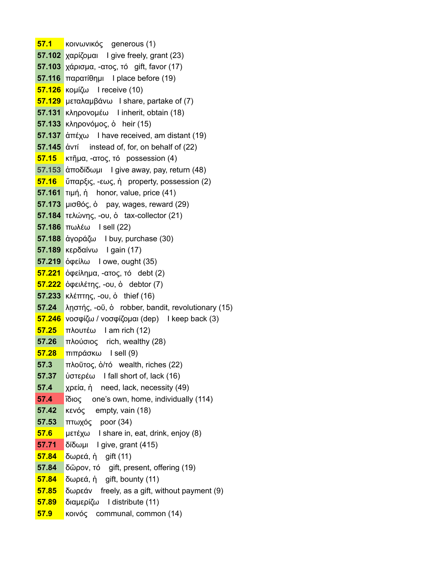**57.1** κοινωνικός generous (1) **57.102** χαρίζομαι I give freely, grant (23) **57.103** χάρισμα, -ατος, τό gift, favor (17) **57.116** παρατίθημι I place before (19) **57.126** κομίζω I receive (10) **57.129** μεταλαμβάνω I share, partake of (7) **57.131** κληρονομέω I inherit, obtain (18) **57.133** κληρονόμος, ὁ heir (15) **57.137** ἀπέχω I have received, am distant (19) **57.145** ἀντί instead of, for, on behalf of (22) **57.15** κτῆμα, -ατος, τό possession (4) **57.153** ἀποδίδωμι I give away, pay, return (48) **57.16** ὕπαρξις, -εως, ἡ property, possession (2) **57.161** τιμή, ἡ honor, value, price (41) **57.173** μισθός, ὁ pay, wages, reward (29) **57.184** τελώνης, -ου, ὁ tax-collector (21) **57.186** πωλέω I sell (22) **57.188** ἀγοράζω I buy, purchase (30) **57.189** κερδαίνω I gain (17) **57.219** ὀφείλω I owe, ought (35) **57.221** ὀφείλημα, -ατος, τό debt (2) **57.222** ὀφειλέτης, -ου, ὁ debtor (7) **57.233** κλέπτης, -ου, ὁ thief (16) **57.24** λῃστής, -οῦ, ὁ robber, bandit, revolutionary (15) **57.246** νοσφίζω / νοσφίζομαι (dep) I keep back (3) **57.25** πλουτέω I am rich (12) **57.26** πλούσιος rich, wealthy (28) **57.28** πιπράσκω I sell (9) **57.3** πλοῦτος, ὁ/τό wealth, riches (22) **57.37** ὑστερέω I fall short of, lack (16) **57.4** χρεία, ἡ need, lack, necessity (49) **57.4** ἴδιος one's own, home, individually (114) **57.42** κενός empty, vain (18) **57.53** πτωχός poor (34) **57.6** μετέχω I share in, eat, drink, enjoy (8) **57.71** δίδωμι I give, grant (415) **57.84** δωρεά, ἡ gift (11) **57.84** δῶρον, τό gift, present, offering (19) **57.84** δωρεά, ἡ gift, bounty (11) **57.85** δωρεάν freely, as a gift, without payment (9) **57.89** διαμερίζω I distribute (11) **57.9** κοινός communal, common (14)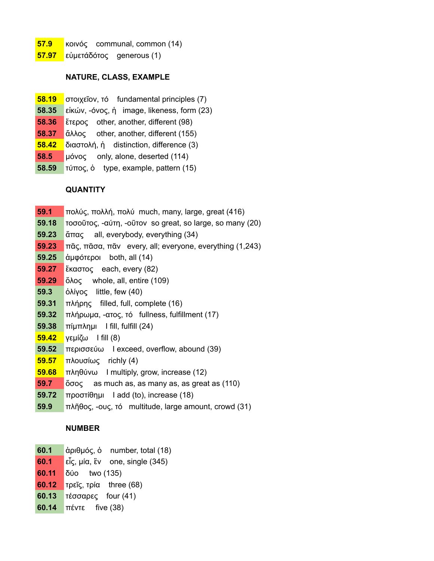- **57.9** κοινός communal, common (14)
- **57.97** εὐμετάδότος generous (1)

#### **NATURE, CLASS, EXAMPLE**

- **58.19** στοιχεῖον, τό fundamental principles (7)
- **58.35** εἰκών, -όνος, ἡ image, likeness, form (23)
- **58.36** ἕτερος other, another, different (98)
- **58.37** ἄλλος other, another, different (155)
- **58.42** διαστολή, ἡ distinction, difference (3)
- **58.5** μόνος only, alone, deserted (114)
- **58.59** τύπος, ὁ type, example, pattern (15)

#### **QUANTITY**

- **59.1** πολύς, πολλή, πολύ much, many, large, great (416)
- **59.18** τοσοῦτος, -αύτη, -οῦτον so great, so large, so many (20)
- **59.23** ἅπας all, everybody, everything (34)
- **59.23** πᾶς, πᾶσα, πᾶν every, all; everyone, everything (1,243)
- **59.25** ἀμφότεροι both, all (14)
- **59.27** ἕκαστος each, every (82)
- **59.29** ὅλος whole, all, entire (109)
- **59.3** ὀλίγος little, few (40)
- **59.31** πλήρης filled, full, complete (16)
- **59.32** πλήρωμα, -ατος, τό fullness, fulfillment (17)
- **59.38** πίμπλημι I fill, fulfill (24)
- **59.42** γεμίζω I fill (8)
- **59.52** περισσεύω I exceed, overflow, abound (39)
- **59.57** πλουσίως richly (4)
- **59.68** πληθύνω I multiply, grow, increase (12)
- **59.7** ὅσος as much as, as many as, as great as (110)
- **59.72** προστίθημι I add (to), increase (18)
- **59.9** πλῆθος, -ους, τό multitude, large amount, crowd (31)

#### **NUMBER**

- **60.1** ἀριθμός, ὁ number, total (18)
- **60.1** εἷς, μία, ἓν one, single (345)
- **60.11** δύο two (135)
- **60.12** τρεῖς, τρία three (68)
- **60.13** τέσσαρες four (41)
- **60.14** πέντε five (38)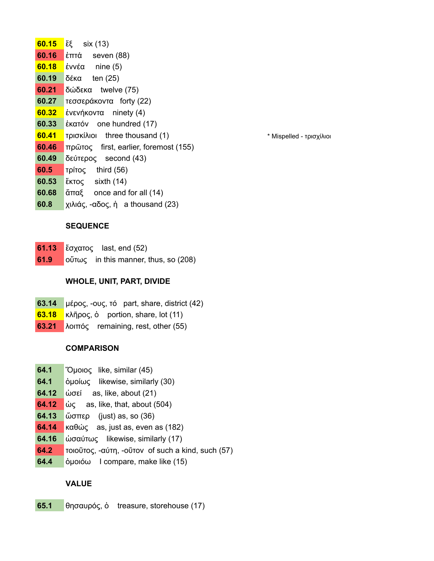**60.15** ἕξ six (13) **60.16** ἑπτά seven (88) **60.18** ἐννέα nine (5) **60.19** δέκα ten (25) **60.21** δώδεκα twelve (75) **60.27** τεσσεράκοντα forty (22) **60.32** ἐνενήκοντα ninety (4) **60.33** ἑκατόν one hundred (17) **60.41 τρισκίλιοι** three thousand (1) *h t**s i* **<b>***s s i i s i i i i i i i i i i i i i i i i i i i i i i* **60.46** πρῶτος first, earlier, foremost (155) **60.49** δεύτερος second (43) **60.5** τρίτος third (56) **60.53** ἕκτος sixth (14) **60.68** ἅπαξ once and for all (14) **60.8** χιλιάς, -αδος, ἡ a thousand (23)

## **SEQUENCE**

- **61.13** ἔσχατος last, end (52)
- **61.9** οὕτως in this manner, thus, so (208)

#### **WHOLE, UNIT, PART, DIVIDE**

- **63.14** μέρος, -ους, τό part, share, district (42)
- **63.18** κλῆρος, ὁ portion, share, lot (11)
- **63.21** λοιπός remaining, rest, other (55)

#### **COMPARISON**

- **64.1** Ὅμοιος like, similar (45)
- **64.1** ὁμοίως likewise, similarly (30)
- **64.12** ὡσεί as, like, about (21)
- **64.12** ὦς as, like, that, about (504)
- **64.13** ὥσπερ (just) as, so (36)
- **64.14** καθώς as, just as, even as (182)
- **64.16** ὡσαύτως likewise, similarly (17)
- **64.2** τοιοῦτος, -αύτη, -οῦτον of such a kind, such (57)
- **64.4** ὁμοιόω I compare, make like (15)

## **VALUE**

**65.1** θησαυρός, ὁ treasure, storehouse (17)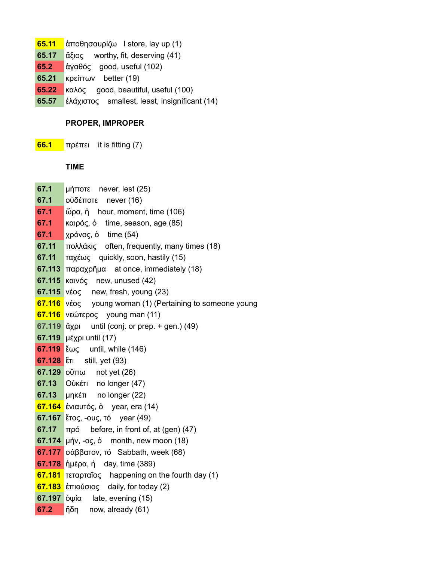- **65.11** ἀποθησαυρίζω I store, lay up (1)
- **65.17** ἄξιος worthy, fit, deserving (41)
- **65.2** ἀγαθός good, useful (102)
- **65.21** κρείττων better (19)
- **65.22** καλός good, beautiful, useful (100)
- **65.57** ἐλάχιστος smallest, least, insignificant (14)

## **PROPER, IMPROPER**

**66.1** πρέπει it is fitting (7)

## **TIME**

| 67.1        | μήποτε never, lest (25)                                  |
|-------------|----------------------------------------------------------|
| 67.1        | οὐδέποτε<br>never $(16)$                                 |
| 67.1        | ὥρα, ἡ hour, moment, time (106)                          |
| 67.1        | καιρός, ο time, season, age (85)                         |
| 67.1        | χρόνος, ὁ time (54)                                      |
| 67.11       | πολλάκις often, frequently, many times (18)              |
| 67.11       | ταχέως quickly, soon, hastily (15)                       |
| 67.113      | $\pi$ αραχρῆμα at once, immediately (18)                 |
|             | $67.115$ Kalvóc new, unused (42)                         |
|             | $67.115$ vέος new, fresh, young (23)                     |
|             | 67.116 νέος young woman (1) (Pertaining to someone young |
|             | <b>67.116</b> νεώτερος young man (11)                    |
| 67.119 ἄχρι | until (conj. or prep. + gen.) (49)                       |
|             | 67.119 µέχρι until (17)                                  |
|             | $67.119$ $\epsilon \omega \zeta$ until, while (146)      |
|             | 67.128 $\text{\textsterling}$ still, yet (93)            |
|             | $67.129$ o $\text{m}$ not yet (26)                       |
| 67.13       | Oὐκέτι no longer (47)                                    |
|             | 67.13 μηκέτι no longer (22)                              |
|             | 67.164 ένιαυτός, ό year, era (14)                        |
|             | <b>67.167</b> ἔτος, -ους, τό year (49)                   |
| 67.17       | $\pi \rho \dot{o}$ before, in front of, at (gen) (47)    |
|             | $67.174$ µήν, -oς, o month, new moon (18)                |
|             | $67.177$ σάββατον, τό Sabbath, week (68)                 |
|             | 67.178 ήμέρα, ή day, time (389)                          |
|             | 67.181 τεταρταΐος happening on the fourth day (1)        |
|             | <b>67.183</b> έπιούσιος daily, for today (2)             |
|             | $67.197$ $\dot{\text{o}}\psi$ (ate, evening (15)         |
| 67.2        | ἤδη now, already (61)                                    |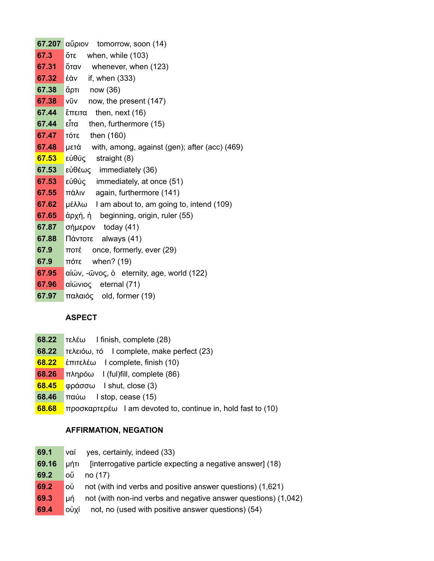|       | $67.207$ $\alpha\check{\psi}$ piov tomorrow, soon (14)  |
|-------|---------------------------------------------------------|
| 67.3  | ὄτε<br>when, while (103)                                |
| 67.31 | ὄταν<br>whenever, when (123)                            |
| 67.32 | if, when (333)<br>ἐάν                                   |
| 67.38 | άρτι<br>now (36)                                        |
| 67.38 | VŨV<br>now, the present (147)                           |
| 67.44 | ἔπειτα<br>then, next $(16)$                             |
| 67.44 | εἶτα<br>then, furthermore (15)                          |
| 67.47 | $T$ or $E$ then (160)                                   |
| 67.48 | $\mu$ ετά with, among, against (gen); after (acc) (469) |
| 67.53 | εὐθύς<br>straight (8)                                   |
| 67.53 | εὐθέως immediately (36)                                 |
| 67.53 | εὐθύς immediately, at once (51)                         |
| 67.55 | $\pi \dot{\alpha}$ λιν again, furthermore (141)         |
| 67.62 | μέλλω I am about to, am going to, intend (109)          |
| 67.65 | άρχή, ή beginning, origin, ruler (55)                   |
| 67.87 | σήμερον today (41)                                      |
| 67.88 | Πάντοτε always (41)                                     |
| 67.9  | once, formerly, ever (29)<br>ποτέ                       |
| 67.9  | when? (19)<br>πότε                                      |
| 67.95 | $\alpha$ ίών, -ῶνος, ὁ eternity, age, world (122)       |
| 67.96 | αἰώνιος eternal (71)                                    |
| 67.97 | παλαιός old, former (19)                                |

# **ASPECT**

- **68.22** τελέω I finish, complete (28)
- **68.22** τελειόω, τό I complete, make perfect (23)
- **68.22** ἐπιτελέω I complete, finish (10)
- **68.26** πληρόω I (ful)fill, complete (86)
- **68.45** φράσσω I shut, close (3)
- **68.46** παύω I stop, cease (15)
- **68.68** προσκαρτερέω I am devoted to, continue in, hold fast to (10)

## **AFFIRMATION, NEGATION**

| 69.1  | yes, certainly, indeed (33)<br>ναί                                   |
|-------|----------------------------------------------------------------------|
| 69.16 | [interrogative particle expecting a negative answer] (18)<br>uńti    |
| 69.2  | οű<br>no (17)                                                        |
| 69.2  | not (with ind verbs and positive answer questions) (1,621)<br>ΟÙ     |
| 69.3  | not (with non-ind verbs and negative answer questions) (1,042)<br>uń |
| 69.4  | not, no (used with positive answer questions) (54)<br>ούχί           |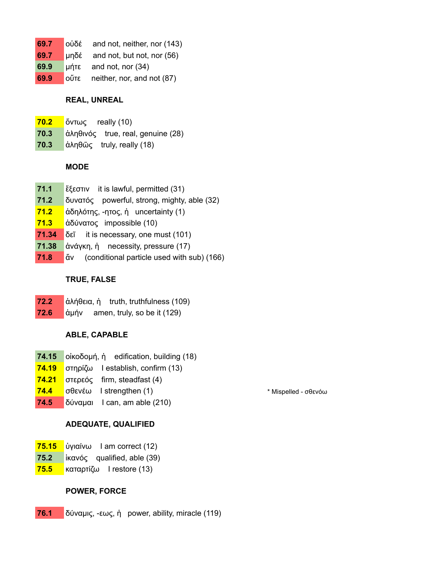| 69.7 | $o\dot{\theta}$ and not, neither, nor (143)   |
|------|-----------------------------------------------|
| 69.7 | $\mu \overline{0}$ and not, but not, nor (56) |
| 69.9 | $\mu$ nte and not, nor (34)                   |
| 69.9 | ούτε neither, nor, and not (87)               |

## **REAL, UNREAL**

- **70.2** ὄντως really (10)
- **70.3** ἀληθινός true, real, genuine (28)
- **70.3** ἀληθῶς truly, really (18)

## **MODE**

- **71.1** ἔξεστιν it is lawful, permitted (31)
- **71.2** δυνατός powerful, strong, mighty, able (32)
- **71.2** ἀδηλότης, -ητος, ἡ uncertainty (1)
- **71.3** ἀδύνατος impossible (10)
- **71.34** δεῖ it is necessary, one must (101)
- **71.38** ἀνάγκη, ἡ necessity, pressure (17)
- **71.8** ἄν (conditional particle used with sub) (166)

## **TRUE, FALSE**

- **72.2** ἀλήθεια, ἡ truth, truthfulness (109)
- **72.6** ἀμήν amen, truly, so be it (129)

# **ABLE, CAPABLE**

- **74.15** οἰκοδομή, ἡ edification, building (18)
- **74.19** στηρίζω I establish, confirm (13)
- **74.21** στερεός firm, steadfast (4)
- **74.4** σθενέω I strengthen (1) *Magnetia* \* Mispelled σθενόω
- **74.5** δύναμαι I can, am able (210)

# **ADEQUATE, QUALIFIED**

- **75.15** ὑγιαίνω I am correct (12)
- **75.2** ἱκανός qualified, able (39)
- **75.5** καταρτίζω I restore (13)

## **POWER, FORCE**

**76.1** δύναμις, -εως, ἡ power, ability, miracle (119)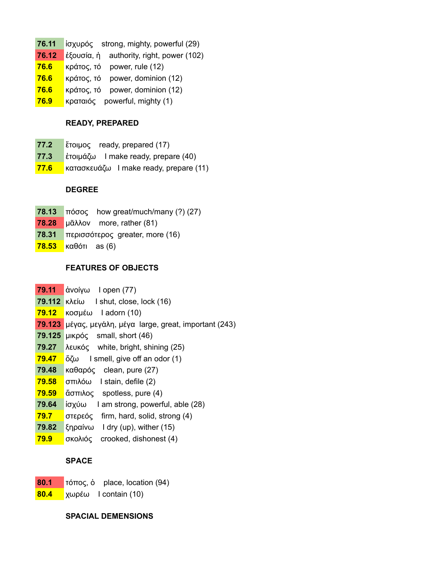- **76.11** ἰσχυρός strong, mighty, powerful (29)
- **76.12** ἐξουσία, ἡ authority, right, power (102)
- **76.6** κράτος, τό power, rule (12)
- **76.6** κράτος, τό power, dominion (12)
- **76.6** κράτος, τό power, dominion (12)
- **76.9** κραταιός powerful, mighty (1)

#### **READY, PREPARED**

- **77.2** ἕτοιμος ready, prepared (17)
- **77.3** ἑτοιμάζω I make ready, prepare (40)
- **77.6** κατασκευάζω I make ready, prepare (11)

## **DEGREE**

- **78.13** πόσος how great/much/many (?) (27)
- **78.28** μᾶλλον more, rather (81)
- **78.31** περισσότερος greater, more (16)
- **78.53** καθότι as (6)

## **FEATURES OF OBJECTS**

- **79.11** ἀνοίγω I open (77)
- **79.112** κλείω I shut, close, lock (16)
- **79.12** κοσμέω I adorn (10)
- **79.123** μέγας, μεγάλη, μέγα large, great, important (243)
- **79.125** μικρός small, short (46)
- **79.27** λευκός white, bright, shining (25)
- **79.47** ὄζω I smell, give off an odor (1)
- **79.48** καθαρός clean, pure (27)
- **79.58** σπιλόω I stain, defile (2)
- **79.59** ἄσπιλος spotless, pure (4)
- **79.64** ἰσχύω I am strong, powerful, able (28)
- **79.7** στερεός firm, hard, solid, strong (4)
- **79.82** ξηραίνω I dry (up), wither (15)
- **79.9** σκολιός crooked, dishonest (4)

## **SPACE**

- **80.1** τόπος, ὁ place, location (94)
- **80.4** χωρέω I contain (10)

## **SPACIAL DEMENSIONS**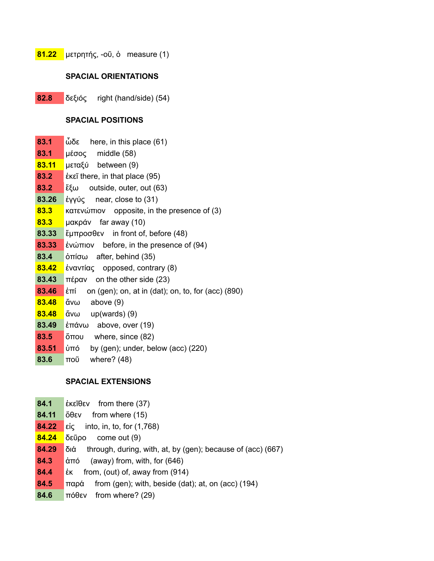**81.22** μετρητής, -οῦ, ὁ measure (1)

#### **SPACIAL ORIENTATIONS**

**82.8** δεξιός right (hand/side) (54)

#### **SPACIAL POSITIONS**

| 83.1  | ὧδε<br>here, in this place (61)                             |
|-------|-------------------------------------------------------------|
| 83.1  | μέσος middle (58)                                           |
| 83.11 | μεταξύ between (9)                                          |
| 83.2  | έκεῖ there, in that place (95)                              |
| 83.2  | $\epsilon$ ξω outside, outer, out (63)                      |
| 83.26 | έγγύς near, close to $(31)$                                 |
| 83.3  | $\kappa$ ατενώπιον opposite, in the presence of (3)         |
| 83.3  | μακράν far away (10)                                        |
| 83.33 | $\check{\epsilon}$ μπροσθεν in front of, before (48)        |
| 83.33 | ένώπιον before, in the presence of $(94)$                   |
| 83.4  | $\dot{\text{or}}}$ after, behind (35)                       |
| 83.42 | έναντίας opposed, contrary (8)                              |
| 83.43 | $\pi \epsilon \rho \alpha v$ on the other side (23)         |
| 83.46 | έπί<br>on (gen); on, at in (dat); on, to, for (acc) $(890)$ |
| 83.48 | ἄνω<br>above $(9)$                                          |
| 83.48 | ἄνω up(wards) (9)                                           |
| 83.49 | έπάνω above, over (19)                                      |
| 83.5  | ὄπου where, since (82)                                      |
| 83.51 | ὑπό<br>by $(gen)$ ; under, below $(acc)$ $(220)$            |
| 83.6  | ποῦ<br>where? $(48)$                                        |
|       |                                                             |

#### **SPACIAL EXTENSIONS**

- **84.1** ἐκεῖθεν from there (37)
- **84.11** ὅθεν from where (15)
- **84.22** εἰς into, in, to, for (1,768)
- **84.24** δεῦρο come out (9)
- **84.29** διά through, during, with, at, by (gen); because of (acc) (667)
- **84.3** ἀπό (away) from, with, for (646)
- **84.4** ἐκ from, (out) of, away from (914)
- **84.5** παρά from (gen); with, beside (dat); at, on (acc) (194)
- **84.6** πόθεν from where? (29)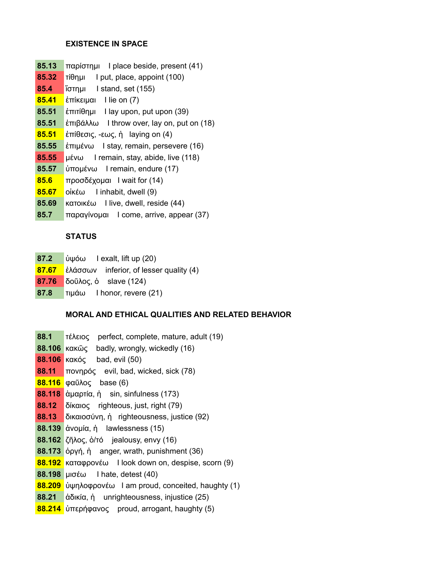# **EXISTENCE IN SPACE**

**85.13** παρίστημι I place beside, present (41) **85.32** τίθημι I put, place, appoint (100) **85.4** ἵστημι I stand, set (155) **85.41** ἐπίκειμαι I lie on (7) **85.51** ἐπιτίθημι I lay upon, put upon (39) **85.51** ἐπιβάλλω I throw over, lay on, put on (18) **85.51** ἐπίθεσις, -εως, ἡ laying on (4) **85.55** ἐπιμένω I stay, remain, persevere (16) **85.55** μένω I remain, stay, abide, live (118) **85.57** ὑπομένω I remain, endure (17) **85.6** προσδέχομαι I wait for (14) **85.67** οἰκέω I inhabit, dwell (9) **85.69** κατοικέω I live, dwell, reside (44) **85.7** παραγίνομαι I come, arrive, appear (37)

# **STATUS**

- **87.2** ὑψόω I exalt, lift up (20)
- **87.67** ἐλάσσων inferior, of lesser quality (4)
- **87.76** δοῦλος, ὁ slave (124)
- **87.8** τιμάω I honor, revere (21)

# **MORAL AND ETHICAL QUALITIES AND RELATED BEHAVIOR**

- **88.1** τέλειος perfect, complete, mature, adult (19)
- **88.106** κακῶς badly, wrongly, wickedly (16)
- **88.106** κακός bad, evil (50)
- **88.11** πονηρός evil, bad, wicked, sick (78)
- **88.116** φαῦλος base (6)
- **88.118** ἁμαρτία, ἡ sin, sinfulness (173)
- **88.12** δίκαιος righteous, just, right (79)
- **88.13** δικαιοσύνη, ἡ righteousness, justice (92)
- **88.139** ἀνομία, ἡ lawlessness (15)
- **88.162** ζῆλος, ὁ/τό jealousy, envy (16)
- **88.173** ὀργή, ἡ anger, wrath, punishment (36)
- **88.192** καταφρονέω I look down on, despise, scorn (9)
- **88.198** μισέω I hate, detest (40)
- **88.209** ὑψηλοφρονέω I am proud, conceited, haughty (1)
- **88.21** ἀδικία, ἡ unrighteousness, injustice (25)
- **88.214** ὑπερήφανος proud, arrogant, haughty (5)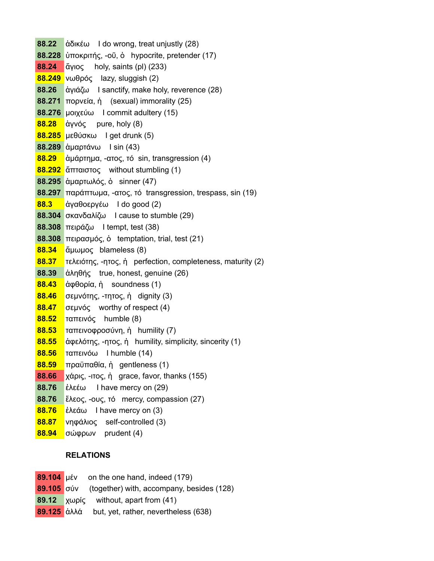**88.22** ἀδικέω I do wrong, treat unjustly (28) **88.228** ὑποκριτής, -οῦ, ὁ hypocrite, pretender (17) **88.24** ἅγιος holy, saints (pl) (233) **88.249** νωθρός lazy, sluggish (2) **88.26** ἁγιάζω I sanctify, make holy, reverence (28) **88.271** πορνεία, ἡ (sexual) immorality (25) **88.276** μοιχεύω I commit adultery (15) **88.28** ἁγνός pure, holy (8) **88.285** μεθύσκω I get drunk (5) **88.289** ἁμαρτάνω I sin (43) **88.29** ἁμάρτημα, -ατος, τό sin, transgression (4) **88.292** ἄπταιστος without stumbling (1) **88.295** ἁμαρτωλός, ὁ sinner (47) **88.297** παράπτωμα, -ατος, τό transgression, trespass, sin (19) **88.3** ἀγαθοεργέω I do good (2) **88.304** σκανδαλίζω I cause to stumble (29) **88.308** πειράζω I tempt, test (38) **88.308** πειρασμός, ὁ temptation, trial, test (21) **88.34** ἄμωμος blameless (8) **88.37** τελειότης, -ητος, ἡ perfection, completeness, maturity (2) **88.39** ἀληθής true, honest, genuine (26) **88.43** ἀφθορία, ἡ soundness (1) **88.46** σεμνότης, -τητος, ἡ dignity (3) **88.47** σεμνός worthy of respect (4) **88.52** ταπεινός humble (8) **88.53** ταπεινοφροσύνη, ἡ humility (7) **88.55** ἀφελότης, -ητος, ἡ humility, simplicity, sincerity (1) **88.56** ταπεινόω I humble (14) **88.59** πραϋπαθία, ἡ gentleness (1) **88.66** χάρις, -ιτος, ἡ grace, favor, thanks (155) **88.76** ἐλεέω I have mercy on (29) **88.76** ἔλεος, -ους, τό mercy, compassion (27) **88.76** ἐλεάω I have mercy on (3) **88.87** νηφάλιος self-controlled (3) **88.94** σώφρων prudent (4)

## **RELATIONS**

|  | $89.104$ µέν on the one hand, indeed (179)                  |
|--|-------------------------------------------------------------|
|  | <b>89.105</b> σύν (together) with, accompany, besides (128) |
|  | $89.12$ xwpic without, apart from (41)                      |
|  | 89.125 άλλά but, yet, rather, nevertheless (638)            |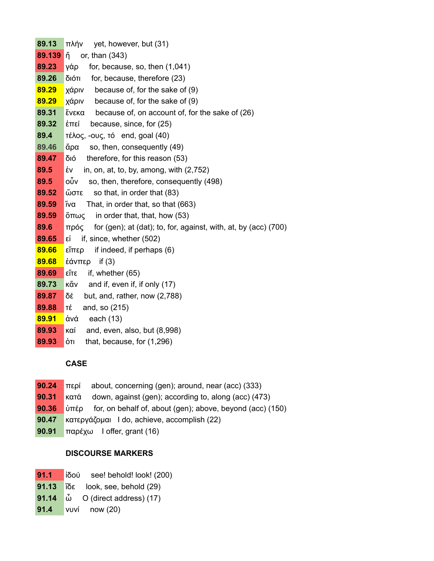| 89.13  | $πλήν$ yet, however, but (31)                                                   |  |  |
|--------|---------------------------------------------------------------------------------|--|--|
| 89.139 | lň.<br>or, than (343)                                                           |  |  |
| 89.23  | γάρ<br>for, because, so, then $(1,041)$                                         |  |  |
| 89.26  | διότι<br>for, because, therefore (23)                                           |  |  |
| 89.29  | because of, for the sake of (9)<br>χάριν                                        |  |  |
| 89.29  | χάριν<br>because of, for the sake of (9)                                        |  |  |
| 89.31  | ἕνεκα<br>because of, on account of, for the sake of (26)                        |  |  |
| 89.32  | $i$ זד $i$<br>because, since, for (25)                                          |  |  |
| 89.4   | $\tau$ έλος, -ους, τό end, goal (40)                                            |  |  |
| 89.46  | ἄρα<br>so, then, consequently (49)                                              |  |  |
| 89.47  | διό<br>therefore, for this reason (53)                                          |  |  |
| 89.5   | in, on, at, to, by, among, with $(2,752)$<br>έν                                 |  |  |
| 89.5   | οὖν<br>so, then, therefore, consequently (498)                                  |  |  |
| 89.52  | ὥστε<br>so that, in order that (83)                                             |  |  |
| 89.59  | ĭνα<br>That, in order that, so that (663)                                       |  |  |
| 89.59  | $\delta$ $\pi\omega\zeta$ in order that, that, how (53)                         |  |  |
| 89.6   | πρός<br>for $(gen)$ ; at $(dat)$ ; to, for, against, with, at, by $(acc)$ (700) |  |  |
| 89.65  | if, since, whether (502)<br>εi                                                  |  |  |
| 89.66  | α3πΐ3<br>if indeed, if perhaps (6)                                              |  |  |
| 89.68  | έάνπερ<br>if $(3)$                                                              |  |  |
| 89.69  | εἴτε<br>if, whether (65)                                                        |  |  |
| 89.73  | $K$ <sub>a</sub> $\alpha$ and if, even if, if only (17)                         |  |  |
| 89.87  | δέ<br>but, and, rather, now (2,788)                                             |  |  |
| 89.88  | TΈ<br>and, so (215)                                                             |  |  |
| 89.91  | ἀνά<br>each $(13)$                                                              |  |  |
| 89.93  | καί<br>and, even, also, but (8,998)                                             |  |  |

**89.93** ότι that, because, for (1,296)

# **CASE**

- **90.24** περί about, concerning (gen); around, near (acc) (333)
- **90.31** κατά down, against (gen); according to, along (acc) (473)
- **90.36** ὑπέρ for, on behalf of, about (gen); above, beyond (acc) (150)
- **90.47** κατεργάζομαι I do, achieve, accomplish (22)
- **90.91** παρέχω I offer, grant (16)

# **DISCOURSE MARKERS**

- **91.1** ἰδού see! behold! look! (200)
- **91.13** ἴδε look, see, behold (29)
- **91.14** ὦ O (direct address) (17)
- **91.4** νυνί now (20)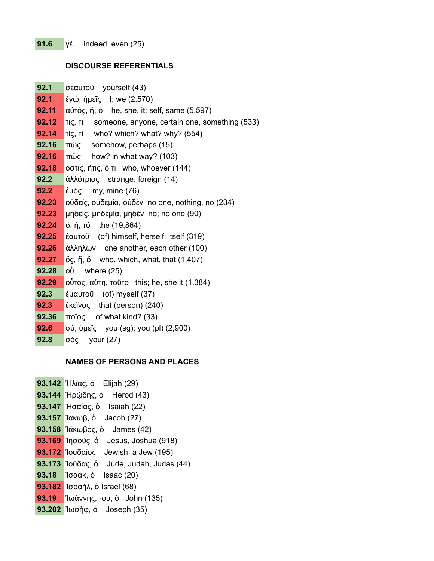#### **DISCOURSE REFERENTIALS**

| 92.1  | σεαυτοῦ yourself (43)                                                                                    |
|-------|----------------------------------------------------------------------------------------------------------|
| 92.1  | έγώ, ήμεῖς I; we (2,570)                                                                                 |
| 92.11 | $\alpha\dot{\beta}$ and $\dot{\gamma}$ , $\dot{\gamma}$ , $\dot{\gamma}$ he, she, it; self, same (5,597) |
| 92.12 | τις, τι someone, anyone, certain one, something (533)                                                    |
| 92.14 | $Ti\varsigma$ , $Ti$ who? which? what? why? (554)                                                        |
| 92.16 | πώς somehow, perhaps (15)                                                                                |
| 92.16 | $\pi\tilde{\omega}\varsigma$ how? in what way? (103)                                                     |
| 92.18 | ὄστις, ἥτις, ὅ τι who, whoever (144)                                                                     |
| 92.2  | άλλότριος strange, foreign (14)                                                                          |
| 92.2  | έμός my, mine (76)                                                                                       |
| 92.23 | οὐδείς, οὐδεμία, οὐδέν no one, nothing, no (234)                                                         |
| 92.23 | μηδείς, μηδεμία, μηδέν no; no one (90)                                                                   |
| 92.24 | ό, ή, τό the $(19,864)$                                                                                  |
| 92.25 | έαυτοῦ (of) himself, herself, itself (319)                                                               |
| 92.26 | άλλήλων one another, each other (100)                                                                    |
| 92.27 | $\breve{\sigma}$ ς, ἥ, ὅ who, which, what, that $(1,407)$                                                |
| 92.28 | οὗ<br>where (25)                                                                                         |
| 92.29 | ούτος, αὕτη, τοῦτο this; he, she it $(1,384)$                                                            |
| 92.3  | έμαυτοῦ (of) myself (37)                                                                                 |
| 92.3  | έκεῖνος that (person) $(240)$                                                                            |
| 92.36 | ποΐος of what kind? (33)                                                                                 |
| 92.6  | σύ, ὑμεῖς you (sg); you (pl) (2,900)                                                                     |

**92.8** σός your (27)

## **NAMES OF PERSONS AND PLACES**

**93.142** Ἠλίας, ὁ Elijah (29) **93.144** Ἡρῴδης, ὁ Herod (43) **93.147** Ἠσαΐας, ὁ Isaiah (22) **93.157** Ἰακώβ, ὁ Jacob (27) **93.158** Ἰάκωβος, ὁ James (42) **93.169** Ἰησοῦς, ὁ Jesus, Joshua (918) **93.172** Ἰουδαῖος Jewish; a Jew (195) **93.173** Ἰούδας, ὁ Jude, Judah, Judas (44) **93.18** Ἰσαάκ, ὁ Isaac (20) **93.182** Ἰσραήλ, ὁ Israel (68) **93.19** Ἰωάννης, -ου, ὁ John (135) **93.202** Ἰωσὴφ, ὁ Joseph (35)